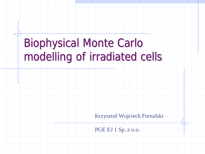## Biophysical Monte Carlo modelling of irradiated cells

Krzysztof Wojciech Fornalski

PGE EJ 1 Sp. z o.o.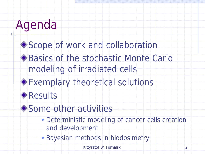◆ Scope of work and collaboration ◆ Basics of the stochastic Monte Carlo modeling of irradiated cells

Exemplary theoretical solutions

**Results** 

◆ Some other activities

 Deterministic modeling of cancer cells creation and development

Bayesian methods in biodosimetry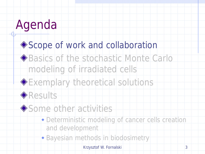#### ◆ Scope of work and collaboration

◆ Basics of the stochastic Monte Carlo modeling of irradiated cells





Some other activities

- Deterministic modeling of cancer cells creation and development
- Bayesian methods in biodosimetry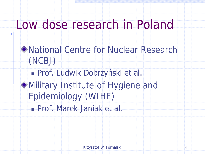### Low dose research in Poland

◆ National Centre for Nuclear Research (NCBJ) Prof. Ludwik Dobrzyński et al. Military Institute of Hygiene and Epidemiology (WIHE) Prof. Marek Janiak et al.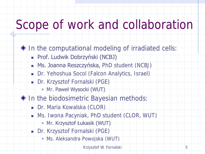## Scope of work and collaboration

- $\blacklozenge$  In the computational modeling of irradiated cells:
	- **Prof. Ludwik Dobrzyński (NCBJ)**
	- **Ms. Joanna Reszczyńska, PhD student (NCBJ)**
	- Dr. Yehoshua Socol (Falcon Analytics, Israel)
	- Dr. Krzysztof Fornalski (PGE)
		- Mr. Paweł Wysocki (WUT)
- ◆ In the biodosimetric Bayesian methods:
	- **Dr. Maria Kowalska (CLOR)**
	- Ms. Iwona Pacyniak, PhD student (CLOR, WUT)
		- Mr. Krzysztof Łukasik (WUT)
	- Dr. Krzysztof Fornalski (PGE)
		- Ms. Aleksandra Powojska (WUT)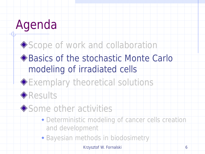#### ◆ Scope of work and collaboration

### ◆ Basics of the stochastic Monte Carlo modeling of irradiated cells



### Exemplary theoretical solutions



#### ◆ Some other activities

- Deterministic modeling of cancer cells creation and development
- Bayesian methods in biodosimetry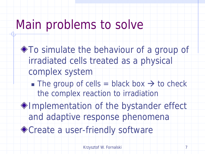### Main problems to solve

To simulate the behaviour of a group of irradiated cells treated as a physical complex system The group of cells = black box  $\rightarrow$  to check the complex reaction to irradiation Implementation of the bystander effect and adaptive response phenomena ◆ Create a user-friendly software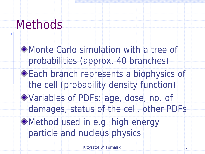## Methods

Monte Carlo simulation with a tree of probabilities (approx. 40 branches) ◆ Each branch represents a biophysics of the cell (probability density function) Variables of PDFs: age, dose, no. of damages, status of the cell, other PDFs Method used in e.g. high energy particle and nucleus physics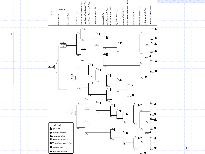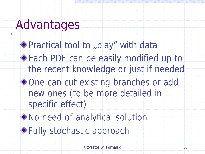## Advantages

◆ Practical tool to "play" with data **Each PDF can be easily modified up to** the recent knowledge or just if needed ◆One can cut existing branches or add new ones (to be more detailed in specific effect) No need of analytical solution Fully stochastic approach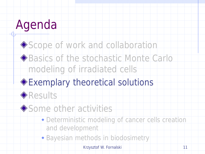### Scope of work and collaboration ◆ Basics of the stochastic Monte Carlo modeling of irradiated cells

### Exemplary theoretical solutions



#### Some other activities

- Deterministic modeling of cancer cells creation and development
- Bayesian methods in biodosimetry

Krzysztof W. Fornalski 11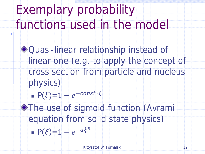## Exemplary probability functions used in the model

◆ Quasi-linear relationship instead of linear one (e.g. to apply the concept of cross section from particle and nucleus physics)

$$
\blacksquare P(\xi) = 1 - e^{-const \cdot \xi}
$$

**The use of sigmoid function (Avramity)** equation from solid state physics)  $P(\xi)=1-e^{-a\xi^n}$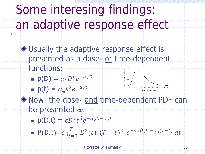Some interesing findings: an adaptive response effect

◆ Usually the adaptive response effect is presented as a dose- or time-dependent functions:  $0,015$   $\text{--}$ 

**p**(D) =  $\alpha_1 D^{\nu} e^{-\alpha_2 D}$ 

$$
= p(t) = \alpha_4 t^{\delta} e^{-\alpha_3 t}
$$



 $\lozenge$  Now, the dose- and time-dependent PDF can be presented as: Krzysztof W. Fornalski 13 <sup>0</sup>

- p(D,t) =  $cD^{\nu}t^{\delta}e^{-\alpha_2D-\alpha_3t}$
- $\blacksquare$  P(D, t) =  $c \int_{t=0}^{T} \dot{D}^2(t)$  $\overline{T}$  $t=0$  $(T-t)^2 e^{-\alpha_2 \dot{D}(t) - \alpha_3 (T-t)} dt$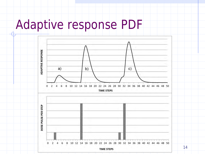### Adaptive response PDF

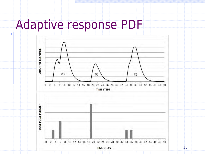## Adaptive response PDF

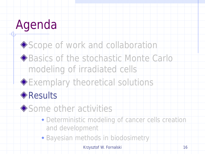#### Scope of work and collaboration ◆ Basics of the stochastic Monte Carlo

modeling of irradiated cells



### **Results**

◆ Some other activities

- Deterministic modeling of cancer cells creation and development
- Bayesian methods in biodosimetry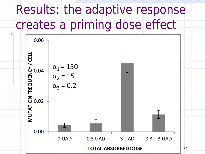## Results: the adaptive response creates a priming dose effect

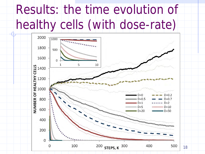# Results: the time evolution of healthy cells (with dose-rate)

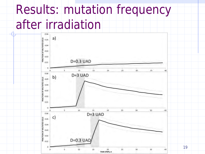## Results: mutation frequency after irradiation

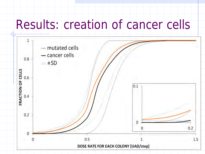## Results: creation of cancer cells

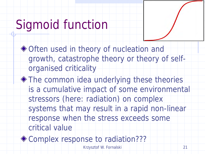## Sigmoid function

◆ Often used in theory of nucleation and growth, catastrophe theory or theory of selforganised criticality

The common idea underlying these theories is a cumulative impact of some environmental stressors (here: radiation) on complex systems that may result in a rapid non-linear response when the stress exceeds some critical value

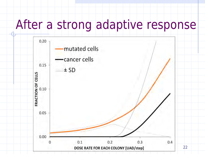## After a strong adaptive response

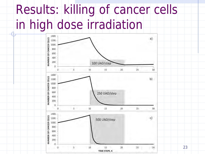## Results: killing of cancer cells in high dose irradiation

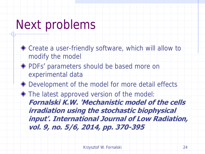### Next problems

◆ Create a user-friendly software, which will allow to modify the model PDFs' parameters should be based more on experimental data ◆ Development of the model for more detail effects  $\blacklozenge$  The latest approved version of the model: **Fornalski K.W. 'Mechanistic model of the cells irradiation using the stochastic biophysical input'. International Journal of Low Radiation, vol. 9, no. 5/6, 2014, pp. 370-395**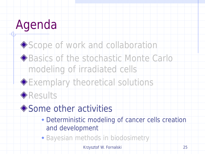### Scope of work and collaboration ◆ Basics of the stochastic Monte Carlo

modeling of irradiated cells





### ◆ Some other activities

- Deterministic modeling of cancer cells creation and development
- Bayesian methods in biodosimetry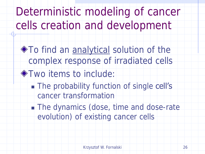Deterministic modeling of cancer cells creation and development

To find an analytical solution of the complex response of irradiated cells **Two items to include:** The probability function of single cell's cancer transformation The dynamics (dose, time and dose-rate evolution) of existing cancer cells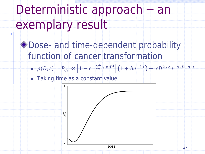Deterministic approach – an exemplary result

◆ Dose- and time-dependent probability function of cancer transformation

 $p(D,t) = P_{CT} \propto \left[1 - e^{-\sum_{i=1}^{R} \beta_i D^i}\right] \left(1 + be^{-\lambda t}\right) - cD^2 t^2 e^{-\alpha_2 D - \alpha_3 t}$ 

Taking time as a constant value:

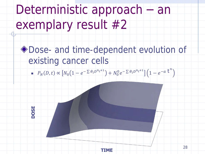Deterministic approach – an exemplary result #2

◆ Dose- and time-dependent evolution of existing cancer cells

■  $P_N(D, t) \propto \left[ N_0 \left( 1 - e^{-\sum \theta_i D^{n_i+1}} \right) + N_0^0 e^{-\sum \theta_i D^{n_i+1}} \right] \left( 1 - e^{-a} \right)^n$ 



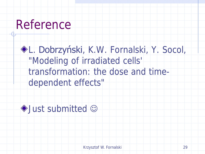### Reference

L. Dobrzyński, K.W. Fornalski, Y. Socol, "Modeling of irradiated cells' transformation: the dose and timedependent effects"

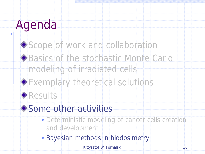## Scope of work and collaboration ◆ Basics of the stochastic Monte Carlo

modeling of irradiated cells





### ◆ Some other activities

- Deterministic modeling of cancer cells creation and development
- Bayesian methods in biodosimetry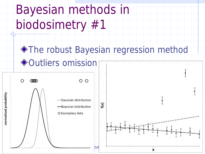Bayesian methods in biodosimetry #1

### **The robust Bayesian regression method** ◆Outliers omission

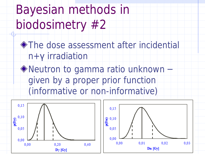Bayesian methods in biodosimetry #2

**The dose assessment after incidential** n+**γ** irradiation

◆ Neutron to gamma ratio unknown – given by a proper prior function (informative or non-informative)



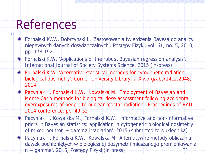### References

- Fornalski K.W., Dobrzyński L. 'Zastosowania twierdzenia Bayesa do analizy niepewnych danych doświadczalnych'. Postępy Fizyki, vol. 61, no. 5, 2010, pp. 178-192
- Fornalski K.W. 'Applications of the robust Bayesian regression analysis'. International Journal of Society Systems Science, 2015 (in-press)
- Fornalski K.W. 'Alternative statistical methods for cytogenetic radiation biological dosimetry'. Cornell University Library, arXiv.org/abs/1412.2048, 2014
- Pacyniak I., Fornalski K.W., Kowalska M. 'Employment of Bayesian and Monte Carlo methods for biological dose assessment following accidental overexposures of people to nuclear reactor radiation'. Proceedings of RAD 2014 conference, pp. 49-52
- Pacyniak I., Kowalska M., Fornalski K.W. 'Informative and non-informative priors in Bayesian statistics: application in cytogenetic biological dosimetry of mixed neutron + gamma irradiation'. 2015 (submitted to Nukleonika)
	- Pacyniak I., Fornalski K.W., Kowalska M. 'Alternatywne metody obliczania dawek pochłoniętych w biologicznej dozymetrii mieszanego promieniowania n + gamma'. 2015, Postępy Fizyki (in press) 33